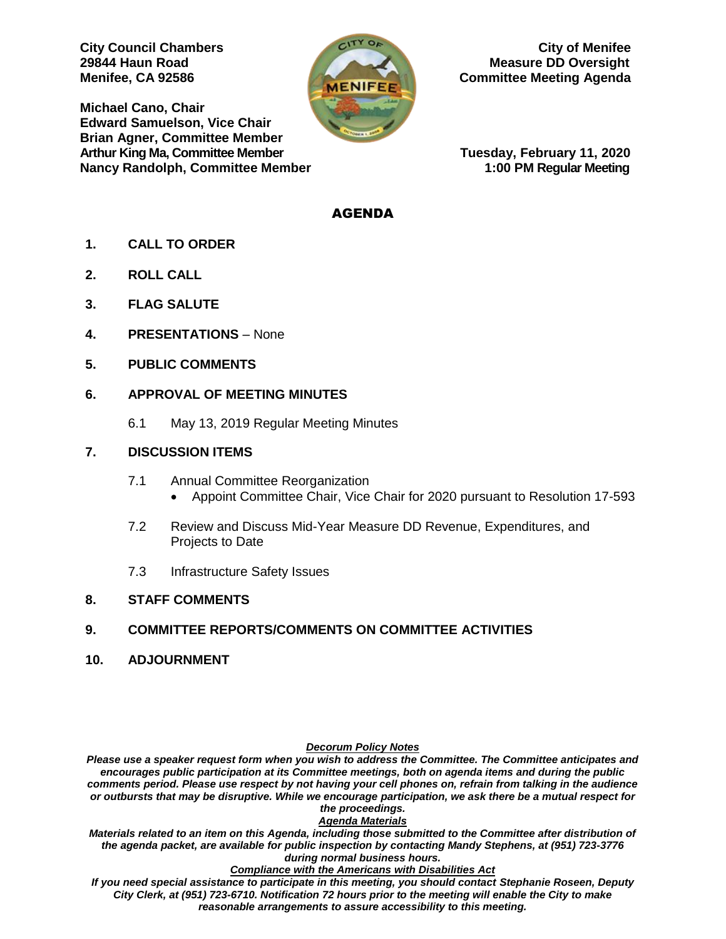**Michael Cano, Chair Edward Samuelson, Vice Chair Brian Agner, Committee Member Arthur King Ma, Committee Member Tuesday, February 11, 2020 Nancy Randolph, Committee Member 1:00 PM Regular Meeting**



**City Council Chambers** Chambers Council Chambers Council Chambers Council Chambers Council Chambers Council Chambers Council Chambers Council Chambers Council Chambers Council Chambers Council Chambers Council Chambers Co **29844 Haun Road Measure DD Oversight Menifee, CA 92586 Committee Meeting Agenda** 

## AGENDA

- **1. CALL TO ORDER**
- **2. ROLL CALL**
- **3. FLAG SALUTE**
- **4. PRESENTATIONS**  None
- **5. PUBLIC COMMENTS**

### **6. APPROVAL OF MEETING MINUTES**

6.1 May 13, 2019 Regular Meeting Minutes

### **7. DISCUSSION ITEMS**

- 7.1 Annual Committee Reorganization
	- Appoint Committee Chair, Vice Chair for 2020 pursuant to Resolution 17-593
- 7.2 Review and Discuss Mid-Year Measure DD Revenue, Expenditures, and Projects to Date
- 7.3 Infrastructure Safety Issues

# **8. STAFF COMMENTS**

# **9. COMMITTEE REPORTS/COMMENTS ON COMMITTEE ACTIVITIES**

**10. ADJOURNMENT**

#### *Decorum Policy Notes*

*Please use a speaker request form when you wish to address the Committee. The Committee anticipates and encourages public participation at its Committee meetings, both on agenda items and during the public comments period. Please use respect by not having your cell phones on, refrain from talking in the audience or outbursts that may be disruptive. While we encourage participation, we ask there be a mutual respect for the proceedings.*

#### *Agenda Materials*

*Materials related to an item on this Agenda, including those submitted to the Committee after distribution of the agenda packet, are available for public inspection by contacting Mandy Stephens, at (951) 723-3776 during normal business hours.* 

#### *Compliance with the Americans with Disabilities Act*

*If you need special assistance to participate in this meeting, you should contact Stephanie Roseen, Deputy City Clerk, at (951) 723-6710. Notification 72 hours prior to the meeting will enable the City to make reasonable arrangements to assure accessibility to this meeting.*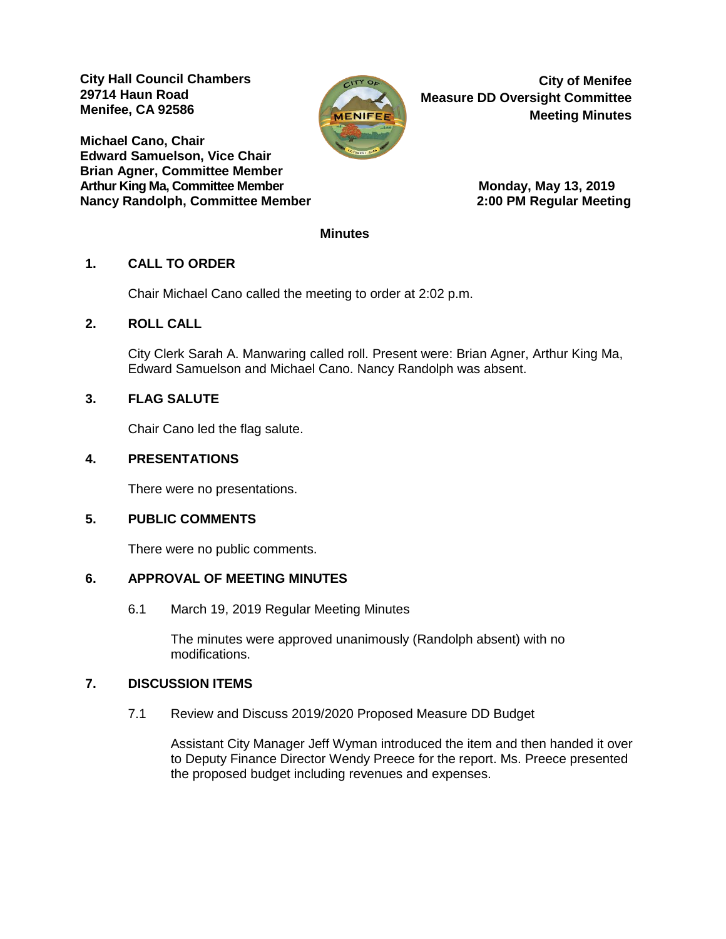**City Hall Council Chambers 29714 Haun Road Menifee, CA 92586** 

**Michael Cano, Chair Edward Samuelson, Vice Chair Brian Agner, Committee Member** Arthur King Ma, Committee Member **Monday, Maya 13, 2019 Nancy Randolph, Committee Member 2:00 PM Regular Meeting**



**City of Menifee Measure DD Oversight Committee Meeting Minutes**

#### **Minutes**

# **1. CALL TO ORDER**

Chair Michael Cano called the meeting to order at 2:02 p.m.

### **2. ROLL CALL**

City Clerk Sarah A. Manwaring called roll. Present were: Brian Agner, Arthur King Ma, Edward Samuelson and Michael Cano. Nancy Randolph was absent.

# **3. FLAG SALUTE**

Chair Cano led the flag salute.

## **4. PRESENTATIONS**

There were no presentations.

#### **5. PUBLIC COMMENTS**

There were no public comments.

#### **6. APPROVAL OF MEETING MINUTES**

6.1 March 19, 2019 Regular Meeting Minutes

The minutes were approved unanimously (Randolph absent) with no modifications.

#### **7. DISCUSSION ITEMS**

7.1 Review and Discuss 2019/2020 Proposed Measure DD Budget

Assistant City Manager Jeff Wyman introduced the item and then handed it over to Deputy Finance Director Wendy Preece for the report. Ms. Preece presented the proposed budget including revenues and expenses.